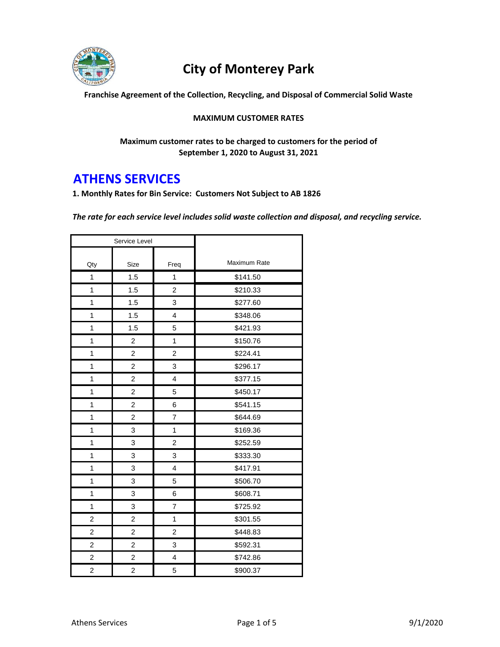

## **City of Monterey Park**

**Franchise Agreement of the Collection, Recycling, and Disposal of Commercial Solid Waste**

#### **MAXIMUM CUSTOMER RATES**

**Maximum customer rates to be charged to customers for the period of September 1, 2020 to August 31, 2021**

### **ATHENS SERVICES**

**1. Monthly Rates for Bin Service: Customers Not Subject to AB 1826**

*The rate for each service level includes solid waste collection and disposal, and recycling service.* 

| Service Level           |                |                         |              |
|-------------------------|----------------|-------------------------|--------------|
| Qty                     | Size           | Freq                    | Maximum Rate |
| 1                       | 1.5            | 1                       | \$141.50     |
| 1                       | 1.5            | $\overline{c}$          | \$210.33     |
| 1                       | 1.5            | 3                       | \$277.60     |
| 1                       | 1.5            | 4                       | \$348.06     |
| 1                       | 1.5            | 5                       | \$421.93     |
| 1                       | $\overline{c}$ | 1                       | \$150.76     |
| 1                       | 2              | $\overline{c}$          | \$224.41     |
| 1                       | 2              | 3                       | \$296.17     |
| 1                       | 2              | $\overline{4}$          | \$377.15     |
| 1                       | 2              | 5                       | \$450.17     |
| 1                       | $\overline{c}$ | 6                       | \$541.15     |
| 1                       | 2              | $\overline{7}$          | \$644.69     |
| 1                       | 3              | $\mathbf{1}$            | \$169.36     |
| 1                       | 3              | $\overline{c}$          | \$252.59     |
| 1                       | 3              | 3                       | \$333.30     |
| 1                       | 3              | $\overline{\mathbf{4}}$ | \$417.91     |
| 1                       | 3              | 5                       | \$506.70     |
| 1                       | 3              | 6                       | \$608.71     |
| 1                       | 3              | 7                       | \$725.92     |
| $\overline{c}$          | 2              | $\mathbf{1}$            | \$301.55     |
| $\overline{c}$          | 2              | $\overline{c}$          | \$448.83     |
| $\overline{\mathbf{c}}$ | 2              | 3                       | \$592.31     |
| $\overline{\mathbf{c}}$ | 2              | $\overline{\mathbf{4}}$ | \$742.86     |
| $\overline{c}$          | $\overline{c}$ | 5                       | \$900.37     |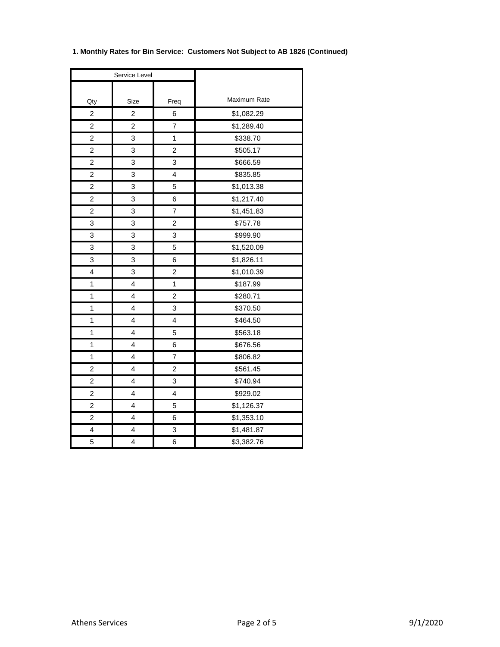| Service Level           |                |                         |              |
|-------------------------|----------------|-------------------------|--------------|
| Qty                     | Size           | Freq                    | Maximum Rate |
| $\overline{\mathbf{c}}$ | 2              | 6                       | \$1,082.29   |
| $\overline{c}$          | $\overline{2}$ | 7                       | \$1,289.40   |
| 2                       | 3              | $\mathbf{1}$            | \$338.70     |
| $\overline{2}$          | 3              | $\overline{c}$          | \$505.17     |
| $\overline{\mathbf{c}}$ | 3              | 3                       | \$666.59     |
| $\overline{c}$          | 3              | 4                       | \$835.85     |
| $\overline{c}$          | 3              | 5                       | \$1,013.38   |
| $\overline{\mathbf{c}}$ | 3              | 6                       | \$1,217.40   |
| $\overline{c}$          | 3              | $\overline{7}$          | \$1,451.83   |
| 3                       | 3              | 2                       | \$757.78     |
| 3                       | 3              | 3                       | \$999.90     |
| 3                       | 3              | 5                       | \$1,520.09   |
| 3                       | 3              | 6                       | \$1,826.11   |
| 4                       | 3              | $\overline{c}$          | \$1,010.39   |
| 1                       | 4              | 1                       | \$187.99     |
| 1                       | 4              | $\overline{c}$          | \$280.71     |
| 1                       | 4              | 3                       | \$370.50     |
| 1                       | 4              | 4                       | \$464.50     |
| 1                       | 4              | 5                       | \$563.18     |
| $\overline{1}$          | 4              | 6                       | \$676.56     |
| 1                       | 4              | $\overline{7}$          | \$806.82     |
| 2                       | 4              | $\overline{\mathbf{c}}$ | \$561.45     |
| $\overline{c}$          | 4              | 3                       | \$740.94     |
| $\overline{\mathbf{c}}$ | 4              | 4                       | \$929.02     |
| $\overline{\mathbf{c}}$ | 4              | 5                       | \$1,126.37   |
| 2                       | 4              | 6                       | \$1,353.10   |
| 4                       | 4              | 3                       | \$1,481.87   |
| 5                       | 4              | 6                       | \$3,382.76   |

### **1. Monthly Rates for Bin Service: Customers Not Subject to AB 1826 (Continued)**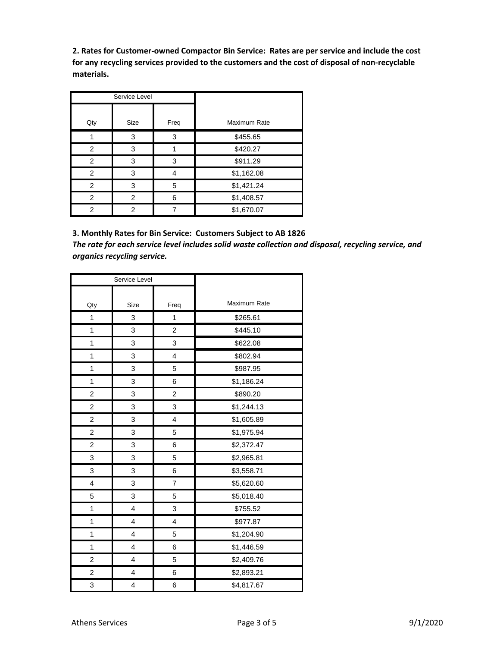**2. Rates for Customer-owned Compactor Bin Service: Rates are per service and include the cost for any recycling services provided to the customers and the cost of disposal of non-recyclable materials.**

| Service Level  |      |      |              |
|----------------|------|------|--------------|
| Qty            | Size | Freq | Maximum Rate |
|                | 3    | 3    | \$455.65     |
| 2              | 3    |      | \$420.27     |
| $\overline{2}$ | 3    | 3    | \$911.29     |
| $\overline{2}$ | 3    |      | \$1,162.08   |
| 2              | 3    | 5    | \$1,421.24   |
| 2              | 2    | 6    | \$1,408.57   |
| 2              | 2    |      | \$1,670.07   |

**3. Monthly Rates for Bin Service: Customers Subject to AB 1826** *The rate for each service level includes solid waste collection and disposal, recycling service, and organics recycling service.*

| Service Level  |      |                  |              |
|----------------|------|------------------|--------------|
|                |      |                  |              |
| Qty            | Size | Freq             | Maximum Rate |
| 1              | 3    | $\mathbf{1}$     | \$265.61     |
| 1              | 3    | $\boldsymbol{2}$ | \$445.10     |
| 1              | 3    | 3                | \$622.08     |
| 1              | 3    | 4                | \$802.94     |
| 1              | 3    | 5                | \$987.95     |
| 1              | 3    | 6                | \$1,186.24   |
| $\overline{c}$ | 3    | $\overline{c}$   | \$890.20     |
| $\overline{c}$ | 3    | 3                | \$1,244.13   |
| $\overline{c}$ | 3    | 4                | \$1,605.89   |
| $\overline{c}$ | 3    | 5                | \$1,975.94   |
| $\overline{c}$ | 3    | 6                | \$2,372.47   |
| 3              | 3    | 5                | \$2,965.81   |
| 3              | 3    | 6                | \$3,558.71   |
| 4              | 3    | 7                | \$5,620.60   |
| 5              | 3    | 5                | \$5,018.40   |
| 1              | 4    | 3                | \$755.52     |
| 1              | 4    | 4                | \$977.87     |
| 1              | 4    | 5                | \$1,204.90   |
| 1              | 4    | 6                | \$1,446.59   |
| $\overline{c}$ | 4    | 5                | \$2,409.76   |
| $\overline{c}$ | 4    | 6                | \$2,893.21   |
| 3              | 4    | 6                | \$4,817.67   |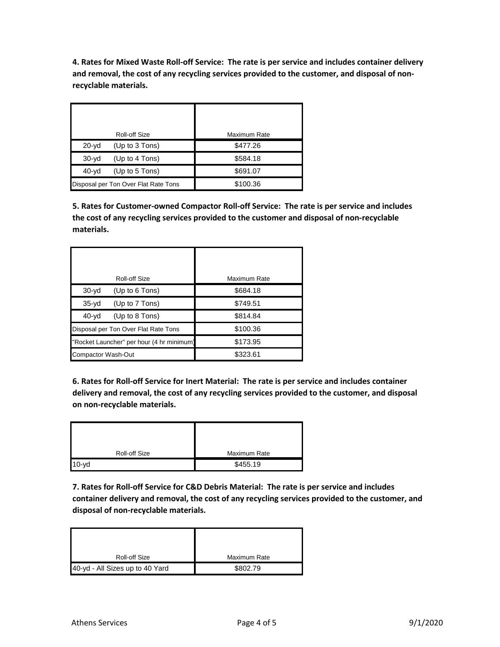**4. Rates for Mixed Waste Roll-off Service: The rate is per service and includes container delivery and removal, the cost of any recycling services provided to the customer, and disposal of nonrecyclable materials.**

|                                      | Roll-off Size  | <b>Maximum Rate</b> |
|--------------------------------------|----------------|---------------------|
| $20-yd$                              | (Up to 3 Tons) | \$477.26            |
| $30-yd$                              | (Up to 4 Tons) | \$584.18            |
| $40-yd$                              | (Up to 5 Tons) | \$691.07            |
| Disposal per Ton Over Flat Rate Tons |                | \$100.36            |

**5. Rates for Customer-owned Compactor Roll-off Service: The rate is per service and includes the cost of any recycling services provided to the customer and disposal of non-recyclable materials.**

|                    | Roll-off Size                             | Maximum Rate |
|--------------------|-------------------------------------------|--------------|
| $30-yd$            | (Up to $6$ Tons)                          | \$684.18     |
| $35-yd$            | (Up to 7 Tons)                            | \$749.51     |
| $40-yd$            | (Up to 8 Tons)                            | \$814.84     |
|                    | Disposal per Ton Over Flat Rate Tons      | \$100.36     |
|                    | "Rocket Launcher" per hour (4 hr minimum) | \$173.95     |
| Compactor Wash-Out |                                           | \$323.61     |

**6. Rates for Roll-off Service for Inert Material: The rate is per service and includes container delivery and removal, the cost of any recycling services provided to the customer, and disposal on non-recyclable materials.**

| <b>Roll-off Size</b> | Maximum Rate |
|----------------------|--------------|
| $10-yd$              | \$455.19     |

**7. Rates for Roll-off Service for C&D Debris Material: The rate is per service and includes container delivery and removal, the cost of any recycling services provided to the customer, and disposal of non-recyclable materials.**

| <b>Roll-off Size</b>            | Maximum Rate |
|---------------------------------|--------------|
| 40-yd - All Sizes up to 40 Yard | \$802.79     |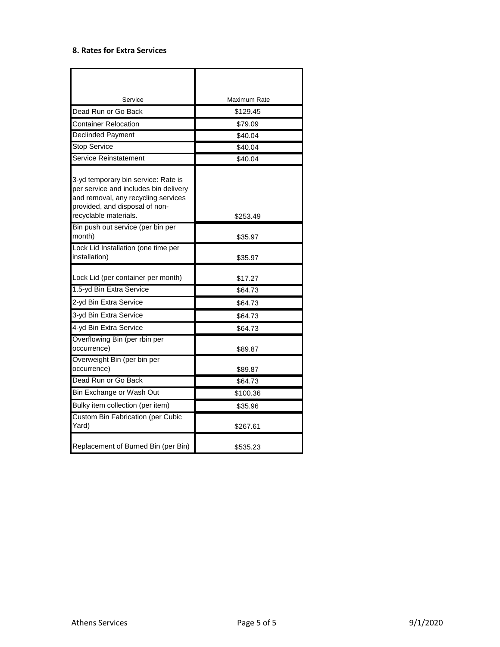#### **8. Rates for Extra Services**

| Service                                                                                                                                                                        | Maximum Rate |
|--------------------------------------------------------------------------------------------------------------------------------------------------------------------------------|--------------|
| Dead Run or Go Back                                                                                                                                                            | \$129.45     |
| Container Relocation                                                                                                                                                           | \$79.09      |
| <b>Declinded Payment</b>                                                                                                                                                       | \$40.04      |
| <b>Stop Service</b>                                                                                                                                                            | \$40.04      |
| <b>Service Reinstatement</b>                                                                                                                                                   | \$40.04      |
| 3-yd temporary bin service: Rate is<br>per service and includes bin delivery<br>and removal, any recycling services<br>provided, and disposal of non-<br>recyclable materials. | \$253.49     |
| Bin push out service (per bin per<br>month)                                                                                                                                    | \$35.97      |
| Lock Lid Installation (one time per<br>installation)                                                                                                                           | \$35.97      |
| Lock Lid (per container per month)                                                                                                                                             | \$17.27      |
| 1.5-yd Bin Extra Service                                                                                                                                                       | \$64.73      |
| 2-yd Bin Extra Service                                                                                                                                                         | \$64.73      |
| 3-yd Bin Extra Service                                                                                                                                                         | \$64.73      |
| 4-yd Bin Extra Service                                                                                                                                                         | \$64.73      |
| Overflowing Bin (per rbin per<br>occurrence)                                                                                                                                   | \$89.87      |
| Overweight Bin (per bin per<br>occurrence)                                                                                                                                     | \$89.87      |
| Dead Run or Go Back                                                                                                                                                            | \$64.73      |
| Bin Exchange or Wash Out                                                                                                                                                       | \$100.36     |
| Bulky item collection (per item)                                                                                                                                               | \$35.96      |
| <b>Custom Bin Fabrication (per Cubic</b><br>Yard)                                                                                                                              | \$267.61     |
| Replacement of Burned Bin (per Bin)                                                                                                                                            | \$535.23     |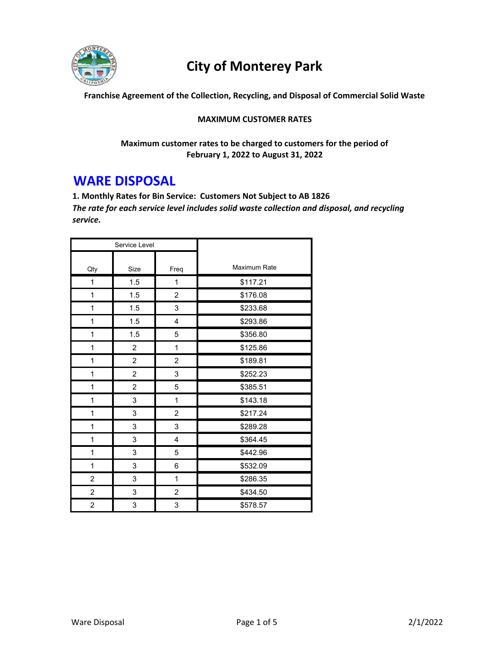

# **City of Monterey Park**

**Franchise Agreement of the Collection, Recycling, and Disposal of Commercial Solid Waste**

#### **MAXIMUM CUSTOMER RATES**

**Maximum customer rates to be charged to customers for the period of February 1, 2022 to August 31, 2022**

## **WARE DISPOSAL**

**1. Monthly Rates for Bin Service: Customers Not Subject to AB 1826** *The rate for each service level includes solid waste collection and disposal, and recycling service.* 

| Service Level  |                         |                |              |
|----------------|-------------------------|----------------|--------------|
| Qty            | Size                    | Freq           | Maximum Rate |
| 1              | 1.5                     | 1              | \$117.21     |
| $\mathbf{1}$   | 1.5                     | $\overline{c}$ | \$176.08     |
| 1              | 1.5                     | 3              | \$233.68     |
| 1              | 1.5                     | 4              | \$293.86     |
| 1              | 1.5                     | 5              | \$356.80     |
| 1              | 2                       | 1              | \$125.86     |
| $\mathbf 1$    | $\overline{c}$          | $\overline{c}$ | \$189.81     |
| 1              | $\overline{\mathbf{c}}$ | 3              | \$252.23     |
| $\mathbf{1}$   | $\overline{c}$          | 5              | \$385.51     |
| 1              | 3                       | $\mathbf 1$    | \$143.18     |
| $\mathbf{1}$   | 3                       | $\overline{2}$ | \$217.24     |
| 1              | 3                       | 3              | \$289.28     |
| 1              | 3                       | 4              | \$364.45     |
| $\mathbf 1$    | 3                       | 5              | \$442.96     |
| 1              | 3                       | 6              | \$532.09     |
| $\overline{c}$ | 3                       | $\mathbf{1}$   | \$286.35     |
| $\overline{c}$ | 3                       | $\overline{c}$ | \$434.50     |
| 2              | 3                       | 3              | \$578.57     |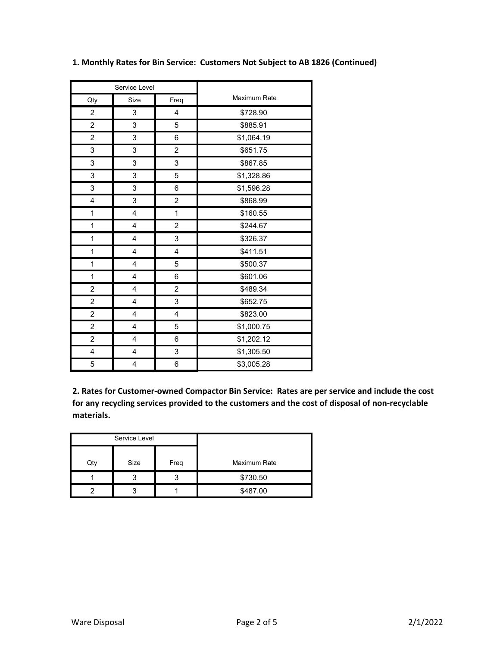| Service Level           |                         |                |              |
|-------------------------|-------------------------|----------------|--------------|
| Qty                     | Size                    | Freq           | Maximum Rate |
| $\overline{c}$          | 3                       | 4              | \$728.90     |
| $\overline{c}$          | 3                       | 5              | \$885.91     |
| $\overline{c}$          | 3                       | 6              | \$1,064.19   |
| 3                       | 3                       | $\overline{c}$ | \$651.75     |
| 3                       | 3                       | 3              | \$867.85     |
| 3                       | 3                       | 5              | \$1,328.86   |
| 3                       | 3                       | 6              | \$1,596.28   |
| $\overline{\mathbf{4}}$ | 3                       | $\overline{c}$ | \$868.99     |
| 1                       | $\overline{\mathbf{4}}$ | 1              | \$160.55     |
| 1                       | $\overline{\mathbf{4}}$ | $\overline{2}$ | \$244.67     |
| 1                       | 4                       | 3              | \$326.37     |
| 1                       | 4                       | 4              | \$411.51     |
| 1                       | 4                       | 5              | \$500.37     |
| $\mathbf 1$             | 4                       | 6              | \$601.06     |
| $\overline{c}$          | 4                       | $\overline{c}$ | \$489.34     |
| $\overline{c}$          | 4                       | 3              | \$652.75     |
| $\overline{c}$          | $\overline{\mathbf{4}}$ | $\overline{4}$ | \$823.00     |
| $\overline{c}$          | 4                       | 5              | \$1,000.75   |
| $\overline{c}$          | 4                       | 6              | \$1,202.12   |
| $\overline{\mathbf{4}}$ | 4                       | 3              | \$1,305.50   |
| 5                       | 4                       | 6              | \$3,005.28   |

**1. Monthly Rates for Bin Service: Customers Not Subject to AB 1826 (Continued)**

**2. Rates for Customer‐owned Compactor Bin Service: Rates are per service and include the cost for any recycling services provided to the customers and the cost of disposal of non‐recyclable materials.**

| Service Level |      |      |              |
|---------------|------|------|--------------|
| Qty           | Size | Freq | Maximum Rate |
|               |      |      | \$730.50     |
|               |      |      | \$487.00     |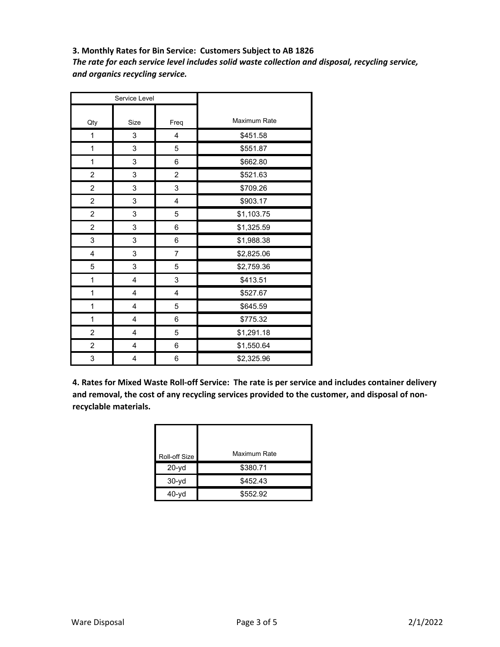**3. Monthly Rates for Bin Service: Customers Subject to AB 1826**

*The rate for each service level includes solid waste collection and disposal, recycling service, and organics recycling service.*

| Service Level           |                         |                |              |
|-------------------------|-------------------------|----------------|--------------|
| Qty                     | Size                    | Freq           | Maximum Rate |
| 1                       | 3                       | 4              | \$451.58     |
| $\mathbf{1}$            | 3                       | 5              | \$551.87     |
| 1                       | 3                       | 6              | \$662.80     |
| $\overline{\mathbf{c}}$ | 3                       | $\overline{c}$ | \$521.63     |
| $\overline{c}$          | 3                       | 3              | \$709.26     |
| $\overline{c}$          | 3                       | 4              | \$903.17     |
| $\overline{c}$          | 3                       | 5              | \$1,103.75   |
| $\overline{c}$          | 3                       | 6              | \$1,325.59   |
| 3                       | 3                       | 6              | \$1,988.38   |
| $\overline{\mathbf{4}}$ | 3                       | $\overline{7}$ | \$2,825.06   |
| 5                       | 3                       | 5              | \$2,759.36   |
| $\mathbf{1}$            | $\overline{\mathbf{4}}$ | 3              | \$413.51     |
| $\mathbf{1}$            | 4                       | 4              | \$527.67     |
| 1                       | 4                       | 5              | \$645.59     |
| $\mathbf 1$             | 4                       | 6              | \$775.32     |
| $\overline{c}$          | 4                       | 5              | \$1,291.18   |
| $\overline{c}$          | $\overline{\mathbf{4}}$ | 6              | \$1,550.64   |
| 3                       | 4                       | 6              | \$2,325.96   |

**4. Rates for Mixed Waste Roll‐off Service: The rate is per service and includes container delivery and removal, the cost of any recycling services provided to the customer, and disposal of non‐ recyclable materials.**

| Roll-off Size | Maximum Rate |  |
|---------------|--------------|--|
| $20 - yd$     | \$380.71     |  |
| $30-yd$       | \$452.43     |  |
| $40 - v d$    | \$552.92     |  |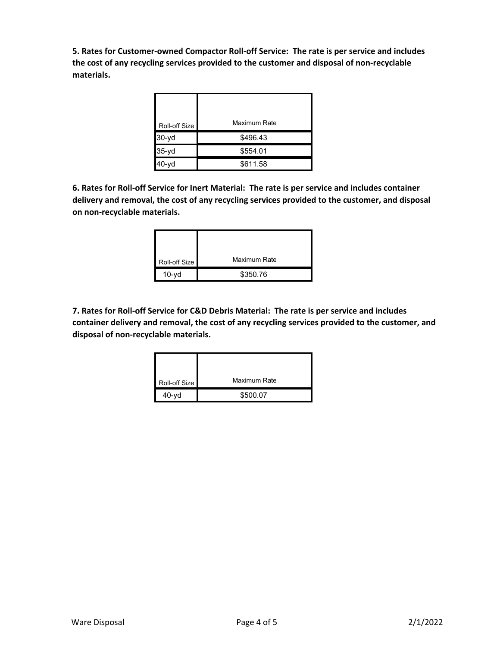**5. Rates for Customer‐owned Compactor Roll‐off Service: The rate is per service and includes the cost of any recycling services provided to the customer and disposal of non‐recyclable materials.**

| Roll-off Size | Maximum Rate |  |
|---------------|--------------|--|
| $30 - yd$     | \$496.43     |  |
| 35-yd         | \$554.01     |  |
| 40-yd         | \$611.58     |  |

**6. Rates for Roll‐off Service for Inert Material: The rate is per service and includes container delivery and removal, the cost of any recycling services provided to the customer, and disposal on non‐recyclable materials.**

| Roll-off Size | Maximum Rate |
|---------------|--------------|
| $10-vd$       | \$350.76     |

**7. Rates for Roll‐off Service for C&D Debris Material: The rate is per service and includes container delivery and removal, the cost of any recycling services provided to the customer, and disposal of non‐recyclable materials.**

| Roll-off Size | Maximum Rate |
|---------------|--------------|
| $40 - v d$    | \$500.07     |